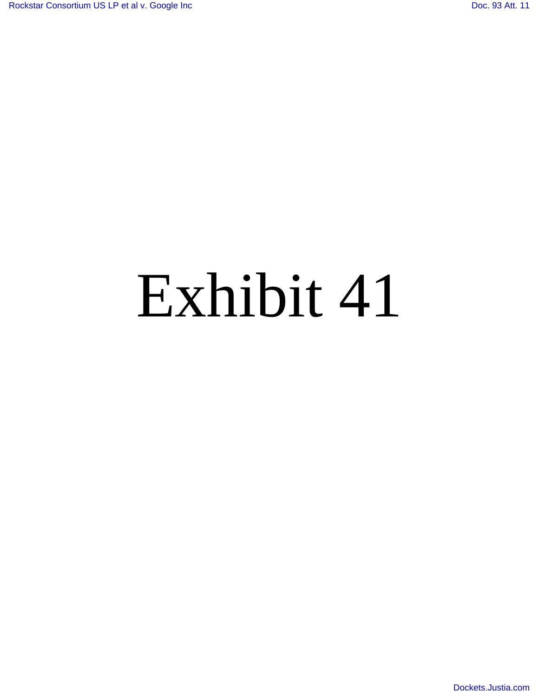# Exhibit 41